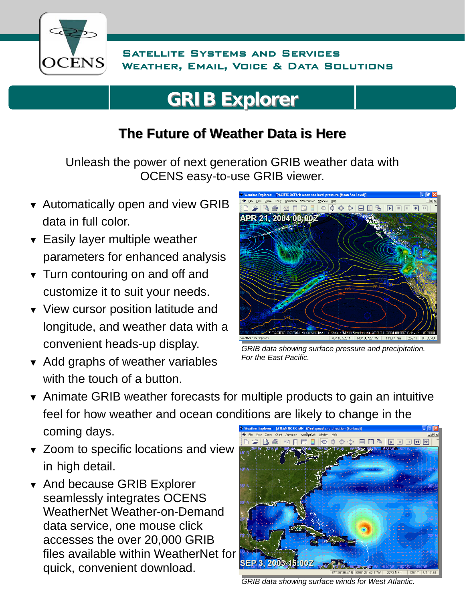

## **GRIB Explorer GRIB Explorer**

## **The Future of Weather Data is Here The Future of Weather Data is Here**

Unleash the power of next generation GRIB weather data with OCENS easy-to-use GRIB viewer.

- ▼ Automatically open and view GRIB data in full color.
- ▼ Easily layer multiple weather parameters for enhanced analysis
- ▼ Turn contouring on and off and customize it to suit your needs.
- ▼ View cursor position latitude and longitude, and weather data with a convenient heads-up display.
- ▼ Add graphs of weather variables with the touch of a button.



*GRIB data showing surface pressure and precipitation. For the East Pacific.* 

- ▼ Animate GRIB weather forecasts for multiple products to gain an intuitive feel for how weather and ocean conditions are likely to change in the coming days.
- ▼ Zoom to specific locations and view in high detail.
- ▼ And because GRIB Explorer seamlessly integrates OCENS WeatherNet Weather-on-Demand data service, one mouse click accesses the over 20,000 GRIB files available within WeatherNet for quick, convenient download.



*GRIB data showing surface winds for West Atlantic.*